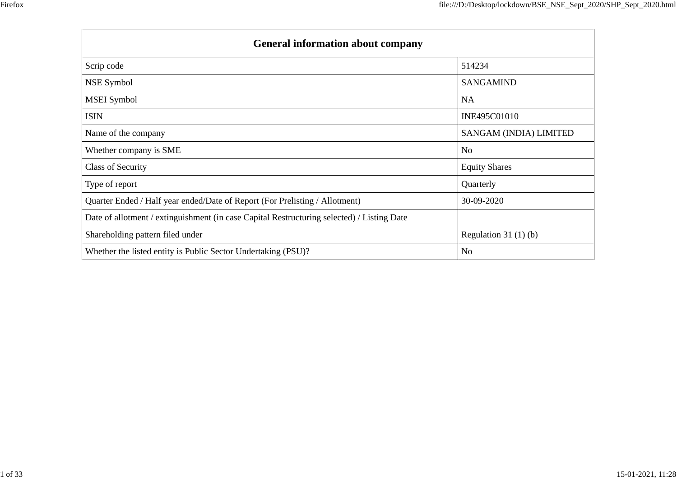| <b>General information about company</b>                                                   |                        |  |  |  |  |  |  |
|--------------------------------------------------------------------------------------------|------------------------|--|--|--|--|--|--|
| Scrip code                                                                                 | 514234                 |  |  |  |  |  |  |
| NSE Symbol                                                                                 | <b>SANGAMIND</b>       |  |  |  |  |  |  |
| <b>MSEI</b> Symbol                                                                         | <b>NA</b>              |  |  |  |  |  |  |
| <b>ISIN</b>                                                                                | INE495C01010           |  |  |  |  |  |  |
| Name of the company                                                                        | SANGAM (INDIA) LIMITED |  |  |  |  |  |  |
| Whether company is SME                                                                     | N <sub>o</sub>         |  |  |  |  |  |  |
| <b>Class of Security</b>                                                                   | <b>Equity Shares</b>   |  |  |  |  |  |  |
| Type of report                                                                             | Quarterly              |  |  |  |  |  |  |
| Quarter Ended / Half year ended/Date of Report (For Prelisting / Allotment)                | 30-09-2020             |  |  |  |  |  |  |
| Date of allotment / extinguishment (in case Capital Restructuring selected) / Listing Date |                        |  |  |  |  |  |  |
| Shareholding pattern filed under                                                           | Regulation $31(1)(b)$  |  |  |  |  |  |  |
| Whether the listed entity is Public Sector Undertaking (PSU)?                              | N <sub>0</sub>         |  |  |  |  |  |  |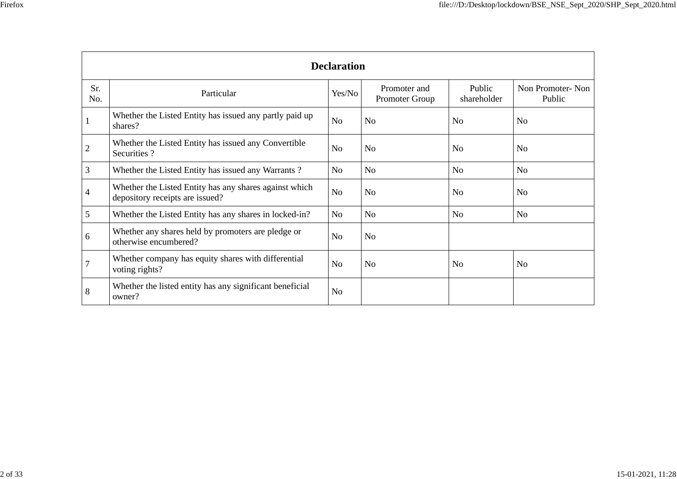| v<br>۰, |  |
|---------|--|
|         |  |

|                | <b>Declaration</b>                                                                        |                |                                |                       |                            |  |  |  |  |
|----------------|-------------------------------------------------------------------------------------------|----------------|--------------------------------|-----------------------|----------------------------|--|--|--|--|
| Sr.<br>No.     | Particular                                                                                | Yes/No         | Promoter and<br>Promoter Group | Public<br>shareholder | Non Promoter-Non<br>Public |  |  |  |  |
|                | Whether the Listed Entity has issued any partly paid up<br>shares?                        | N <sub>o</sub> | N <sub>o</sub>                 | N <sub>o</sub>        | N <sub>o</sub>             |  |  |  |  |
| $\overline{2}$ | Whether the Listed Entity has issued any Convertible<br>Securities ?                      | N <sub>o</sub> | N <sub>o</sub>                 | N <sub>o</sub>        | N <sub>o</sub>             |  |  |  |  |
| 3              | Whether the Listed Entity has issued any Warrants?                                        | N <sub>o</sub> | N <sub>o</sub>                 | N <sub>o</sub>        | N <sub>o</sub>             |  |  |  |  |
| 4              | Whether the Listed Entity has any shares against which<br>depository receipts are issued? | N <sub>o</sub> | No                             | N <sub>0</sub>        | N <sub>o</sub>             |  |  |  |  |
| 5              | Whether the Listed Entity has any shares in locked-in?                                    | N <sub>o</sub> | N <sub>o</sub>                 | N <sub>0</sub>        | No                         |  |  |  |  |
| 6              | Whether any shares held by promoters are pledge or<br>otherwise encumbered?               | N <sub>o</sub> | No                             |                       |                            |  |  |  |  |
| 7              | Whether company has equity shares with differential<br>voting rights?                     | N <sub>o</sub> | No                             | N <sub>o</sub>        | No                         |  |  |  |  |
| 8              | Whether the listed entity has any significant beneficial<br>owner?                        | N <sub>o</sub> |                                |                       |                            |  |  |  |  |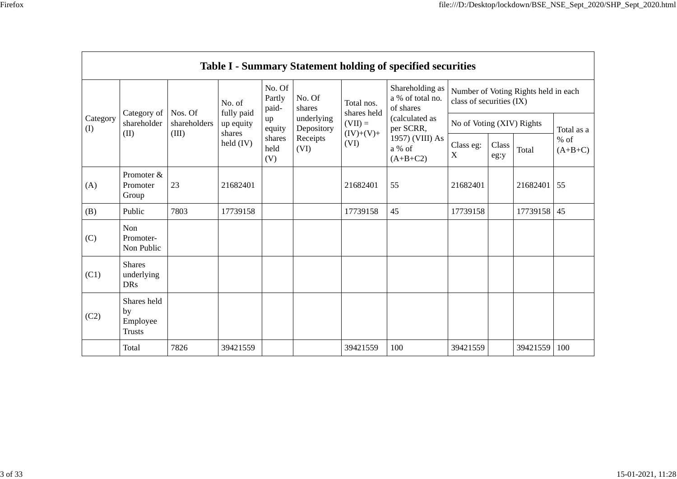|                 |                                                |                                  |                                                                                                                                                                                                                                          |                  |                           |                                                  | <b>Table I - Summary Statement holding of specified securities</b> |                     |  |          |     |
|-----------------|------------------------------------------------|----------------------------------|------------------------------------------------------------------------------------------------------------------------------------------------------------------------------------------------------------------------------------------|------------------|---------------------------|--------------------------------------------------|--------------------------------------------------------------------|---------------------|--|----------|-----|
|                 |                                                |                                  | No. Of<br>Partly<br>paid-                                                                                                                                                                                                                | No. Of<br>shares | Total nos.                | Shareholding as<br>a % of total no.<br>of shares | Number of Voting Rights held in each<br>class of securities (IX)   |                     |  |          |     |
| Category<br>(I) | Category of<br>shareholder<br>(II)             | Nos. Of<br>shareholders<br>(III) | fully paid<br>shares held<br>underlying<br>up<br>$(VII) =$<br>up equity<br>Depository<br>per SCRR,<br>equity<br>$(IV)+(V)+$<br>shares<br>shares<br>Receipts<br>$\text{held (IV)}$<br>(VI)<br>held<br>a % of<br>(VI)<br>$(A+B+C2)$<br>(V) | (calculated as   | No of Voting (XIV) Rights |                                                  |                                                                    | Total as a          |  |          |     |
|                 |                                                |                                  |                                                                                                                                                                                                                                          | 1957) (VIII) As  | Class eg:<br>$\mathbf X$  | Class<br>eg:y                                    | Total                                                              | $%$ of<br>$(A+B+C)$ |  |          |     |
| (A)             | Promoter &<br>Promoter<br>Group                | 23                               | 21682401                                                                                                                                                                                                                                 |                  |                           | 21682401                                         | 55                                                                 | 21682401            |  | 21682401 | 55  |
| (B)             | Public                                         | 7803                             | 17739158                                                                                                                                                                                                                                 |                  |                           | 17739158                                         | 45                                                                 | 17739158            |  | 17739158 | 45  |
| (C)             | Non<br>Promoter-<br>Non Public                 |                                  |                                                                                                                                                                                                                                          |                  |                           |                                                  |                                                                    |                     |  |          |     |
| (C1)            | <b>Shares</b><br>underlying<br><b>DRs</b>      |                                  |                                                                                                                                                                                                                                          |                  |                           |                                                  |                                                                    |                     |  |          |     |
| (C2)            | Shares held<br>by<br>Employee<br><b>Trusts</b> |                                  |                                                                                                                                                                                                                                          |                  |                           |                                                  |                                                                    |                     |  |          |     |
|                 | Total                                          | 7826                             | 39421559                                                                                                                                                                                                                                 |                  |                           | 39421559                                         | 100                                                                | 39421559            |  | 39421559 | 100 |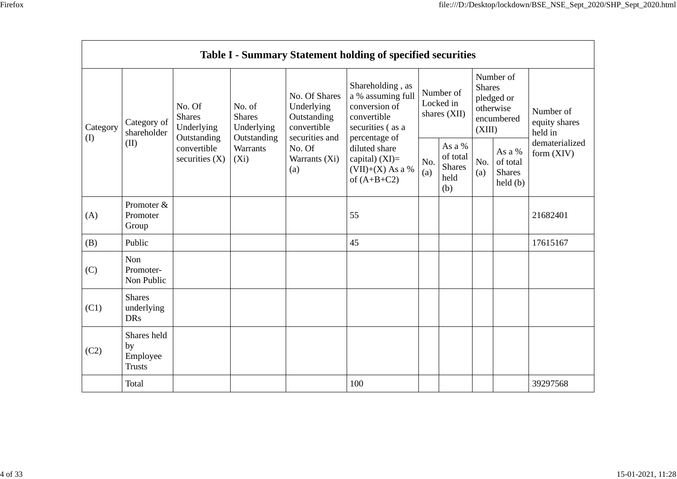| Category<br>(I)<br>(II) |                                                | No. Of<br><b>Shares</b>                  | No. of<br><b>Shares</b>               | No. Of Shares<br>Underlying<br>Outstanding<br>convertible<br>securities and<br>No. Of<br>Warrants (Xi)<br>(a) | Shareholding, as<br>a % assuming full<br>conversion of<br>convertible                                         | Number of<br>Locked in<br>shares (XII) |                                          | Number of<br><b>Shares</b><br>pledged or<br>otherwise<br>encumbered |                                                      | Number of                                                  |
|-------------------------|------------------------------------------------|------------------------------------------|---------------------------------------|---------------------------------------------------------------------------------------------------------------|---------------------------------------------------------------------------------------------------------------|----------------------------------------|------------------------------------------|---------------------------------------------------------------------|------------------------------------------------------|------------------------------------------------------------|
|                         | Category of<br>shareholder                     | Underlying<br>Outstanding<br>convertible | Underlying<br>Outstanding<br>Warrants |                                                                                                               | securities (as a<br>percentage of<br>diluted share<br>capital) $(XI)=$<br>$(VII)+(X)$ As a %<br>of $(A+B+C2)$ |                                        | As a %                                   |                                                                     | (XIII)<br>As a %                                     | equity shares<br>held in<br>dematerialized<br>form $(XIV)$ |
|                         |                                                | securities $(X)$                         | $(X_i)$                               |                                                                                                               |                                                                                                               | No.<br>(a)                             | of total<br><b>Shares</b><br>held<br>(b) | No.<br>(a)                                                          | of total<br><b>Shares</b><br>$\text{held}(\text{b})$ |                                                            |
| (A)                     | Promoter &<br>Promoter<br>Group                |                                          |                                       |                                                                                                               | 55                                                                                                            |                                        |                                          |                                                                     |                                                      | 21682401                                                   |
| (B)                     | Public                                         |                                          |                                       |                                                                                                               | 45                                                                                                            |                                        |                                          |                                                                     |                                                      | 17615167                                                   |
| (C)                     | Non<br>Promoter-<br>Non Public                 |                                          |                                       |                                                                                                               |                                                                                                               |                                        |                                          |                                                                     |                                                      |                                                            |
| (C1)                    | <b>Shares</b><br>underlying<br><b>DRs</b>      |                                          |                                       |                                                                                                               |                                                                                                               |                                        |                                          |                                                                     |                                                      |                                                            |
| (C2)                    | Shares held<br>by<br>Employee<br><b>Trusts</b> |                                          |                                       |                                                                                                               |                                                                                                               |                                        |                                          |                                                                     |                                                      |                                                            |
|                         | Total                                          |                                          |                                       |                                                                                                               | 100                                                                                                           |                                        |                                          |                                                                     |                                                      | 39297568                                                   |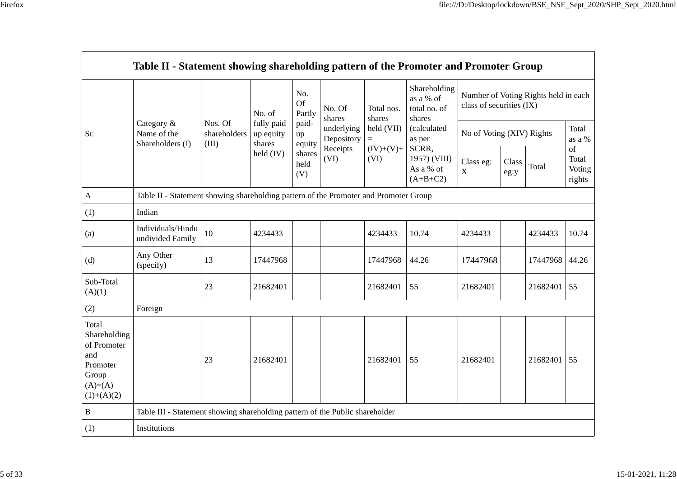| ero |  |
|-----|--|
|     |  |
|     |  |

|                                                                                                | Table II - Statement showing shareholding pattern of the Promoter and Promoter Group |                                  |                                   |                            |                                                                  |                                                                  |                                                                                                                                  |                                                                  |               |          |                           |
|------------------------------------------------------------------------------------------------|--------------------------------------------------------------------------------------|----------------------------------|-----------------------------------|----------------------------|------------------------------------------------------------------|------------------------------------------------------------------|----------------------------------------------------------------------------------------------------------------------------------|------------------------------------------------------------------|---------------|----------|---------------------------|
|                                                                                                |                                                                                      |                                  | No. of                            | No.<br><b>Of</b><br>Partly | No. Of<br>shares<br>underlying<br>Depository<br>Receipts<br>(VI) | Total nos.<br>shares<br>held (VII)<br>$=$<br>$(IV)+(V)+$<br>(VI) | Shareholding<br>as a % of<br>total no. of<br>shares<br>(calculated<br>as per<br>SCRR,<br>1957) (VIII)<br>As a % of<br>$(A+B+C2)$ | Number of Voting Rights held in each<br>class of securities (IX) |               |          |                           |
| Sr.                                                                                            | Category &<br>Name of the<br>Shareholders (I)                                        | Nos. Of<br>shareholders<br>(III) | fully paid<br>up equity<br>shares | paid-<br>up<br>equity      |                                                                  |                                                                  |                                                                                                                                  | No of Voting (XIV) Rights                                        |               |          | Total<br>as a $\%$<br>of  |
|                                                                                                |                                                                                      |                                  | held $(IV)$                       | shares<br>held<br>(V)      |                                                                  |                                                                  |                                                                                                                                  | Class eg:<br>$\mathbf X$                                         | Class<br>eg:y | Total    | Total<br>Voting<br>rights |
| $\mathbf{A}$                                                                                   | Table II - Statement showing shareholding pattern of the Promoter and Promoter Group |                                  |                                   |                            |                                                                  |                                                                  |                                                                                                                                  |                                                                  |               |          |                           |
| (1)                                                                                            | Indian                                                                               |                                  |                                   |                            |                                                                  |                                                                  |                                                                                                                                  |                                                                  |               |          |                           |
| (a)                                                                                            | Individuals/Hindu<br>undivided Family                                                | 10                               | 4234433                           |                            |                                                                  | 4234433                                                          | 10.74                                                                                                                            | 4234433                                                          |               | 4234433  | 10.74                     |
| (d)                                                                                            | Any Other<br>(specify)                                                               | 13                               | 17447968                          |                            |                                                                  | 17447968                                                         | 44.26                                                                                                                            | 17447968                                                         |               | 17447968 | 44.26                     |
| Sub-Total<br>(A)(1)                                                                            |                                                                                      | 23                               | 21682401                          |                            |                                                                  | 21682401                                                         | 55                                                                                                                               | 21682401                                                         |               | 21682401 | 55                        |
| (2)                                                                                            | Foreign                                                                              |                                  |                                   |                            |                                                                  |                                                                  |                                                                                                                                  |                                                                  |               |          |                           |
| Total<br>Shareholding<br>of Promoter<br>and<br>Promoter<br>Group<br>$(A)= (A)$<br>$(1)+(A)(2)$ |                                                                                      | 23                               | 21682401                          |                            |                                                                  | 21682401                                                         | 55                                                                                                                               | 21682401                                                         |               | 21682401 | 55                        |
| $\, {\bf B}$                                                                                   | Table III - Statement showing shareholding pattern of the Public shareholder         |                                  |                                   |                            |                                                                  |                                                                  |                                                                                                                                  |                                                                  |               |          |                           |
| (1)                                                                                            | Institutions                                                                         |                                  |                                   |                            |                                                                  |                                                                  |                                                                                                                                  |                                                                  |               |          |                           |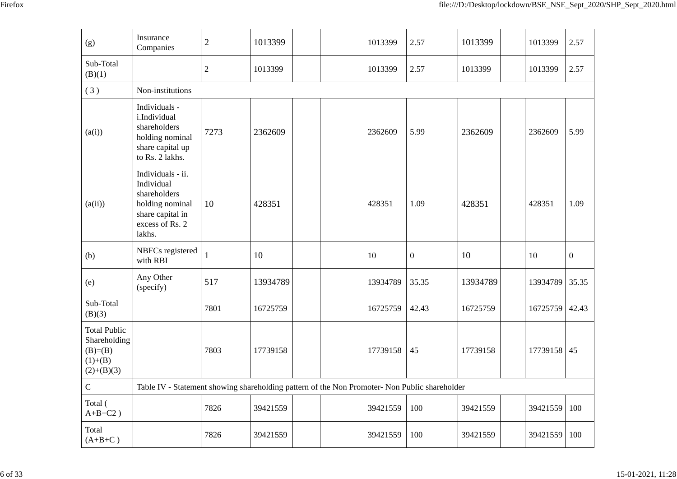| (g)                                                                            | Insurance<br>Companies                                                                                              | $\sqrt{2}$     | 1013399                                                                                       | 1013399  | 2.57             | 1013399  | 1013399  | 2.57             |
|--------------------------------------------------------------------------------|---------------------------------------------------------------------------------------------------------------------|----------------|-----------------------------------------------------------------------------------------------|----------|------------------|----------|----------|------------------|
| Sub-Total<br>(B)(1)                                                            |                                                                                                                     | $\overline{2}$ | 1013399                                                                                       | 1013399  | 2.57             | 1013399  | 1013399  | 2.57             |
| (3)                                                                            | Non-institutions                                                                                                    |                |                                                                                               |          |                  |          |          |                  |
| (a(i))                                                                         | Individuals -<br>i.Individual<br>shareholders<br>holding nominal<br>share capital up<br>to Rs. 2 lakhs.             | 7273           | 2362609                                                                                       | 2362609  | 5.99             | 2362609  | 2362609  | 5.99             |
| (a(ii))                                                                        | Individuals - ii.<br>Individual<br>shareholders<br>holding nominal<br>share capital in<br>excess of Rs. 2<br>lakhs. | 10             | 428351                                                                                        | 428351   | 1.09             | 428351   | 428351   | 1.09             |
| (b)                                                                            | NBFCs registered<br>with RBI                                                                                        | $\mathbf{1}$   | 10                                                                                            | 10       | $\boldsymbol{0}$ | 10       | 10       | $\boldsymbol{0}$ |
| (e)                                                                            | Any Other<br>(specify)                                                                                              | 517            | 13934789                                                                                      | 13934789 | 35.35            | 13934789 | 13934789 | 35.35            |
| Sub-Total<br>(B)(3)                                                            |                                                                                                                     | 7801           | 16725759                                                                                      | 16725759 | 42.43            | 16725759 | 16725759 | 42.43            |
| <b>Total Public</b><br>Shareholding<br>$(B)= (B)$<br>$(1)+(B)$<br>$(2)+(B)(3)$ |                                                                                                                     | 7803           | 17739158                                                                                      | 17739158 | 45               | 17739158 | 17739158 | 45               |
| ${\bf C}$                                                                      |                                                                                                                     |                | Table IV - Statement showing shareholding pattern of the Non Promoter- Non Public shareholder |          |                  |          |          |                  |
| Total (<br>$A+B+C2$ )                                                          |                                                                                                                     | 7826           | 39421559                                                                                      | 39421559 | 100              | 39421559 | 39421559 | 100              |
| Total<br>$(A+B+C)$                                                             |                                                                                                                     | 7826           | 39421559                                                                                      | 39421559 | 100              | 39421559 | 39421559 | 100              |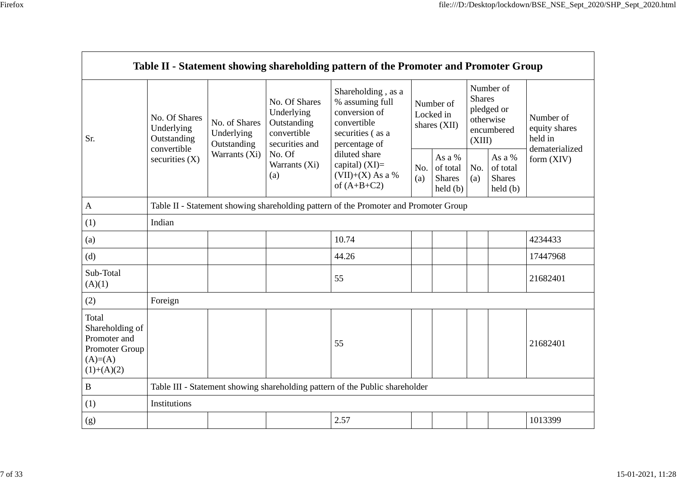|                                                                                          |                                                           |                                            |                                                                             | Table II - Statement showing shareholding pattern of the Promoter and Promoter Group                       |            |                                                                |                         |                                                    |                                       |
|------------------------------------------------------------------------------------------|-----------------------------------------------------------|--------------------------------------------|-----------------------------------------------------------------------------|------------------------------------------------------------------------------------------------------------|------------|----------------------------------------------------------------|-------------------------|----------------------------------------------------|---------------------------------------|
| Sr.                                                                                      | No. Of Shares<br>Underlying<br>Outstanding<br>convertible | No. of Shares<br>Underlying<br>Outstanding | No. Of Shares<br>Underlying<br>Outstanding<br>convertible<br>securities and | Shareholding, as a<br>% assuming full<br>conversion of<br>convertible<br>securities (as a<br>percentage of |            | Number of<br>Locked in<br>shares (XII)                         | <b>Shares</b><br>(XIII) | Number of<br>pledged or<br>otherwise<br>encumbered | Number of<br>equity shares<br>held in |
|                                                                                          | securities $(X)$                                          | Warrants (Xi)                              | No. Of<br>Warrants (Xi)<br>(a)                                              | diluted share<br>capital) $(XI)=$<br>$(VII)+(X)$ As a %<br>of $(A+B+C2)$                                   | No.<br>(a) | As a %<br>of total<br><b>Shares</b><br>$\text{held}(\text{b})$ | No.<br>(a)              | As a %<br>of total<br><b>Shares</b><br>held(b)     | dematerialized<br>form $(XIV)$        |
| $\mathbf{A}$                                                                             |                                                           |                                            |                                                                             | Table II - Statement showing shareholding pattern of the Promoter and Promoter Group                       |            |                                                                |                         |                                                    |                                       |
| (1)                                                                                      | Indian                                                    |                                            |                                                                             |                                                                                                            |            |                                                                |                         |                                                    |                                       |
| (a)                                                                                      |                                                           |                                            |                                                                             | 10.74                                                                                                      |            |                                                                |                         |                                                    | 4234433                               |
| (d)                                                                                      |                                                           |                                            |                                                                             | 44.26                                                                                                      |            |                                                                |                         |                                                    | 17447968                              |
| Sub-Total<br>(A)(1)                                                                      |                                                           |                                            |                                                                             | 55                                                                                                         |            |                                                                |                         |                                                    | 21682401                              |
| (2)                                                                                      | Foreign                                                   |                                            |                                                                             |                                                                                                            |            |                                                                |                         |                                                    |                                       |
| Total<br>Shareholding of<br>Promoter and<br>Promoter Group<br>$(A)= (A)$<br>$(1)+(A)(2)$ |                                                           |                                            |                                                                             | 55                                                                                                         |            |                                                                |                         |                                                    | 21682401                              |
| B                                                                                        |                                                           |                                            |                                                                             | Table III - Statement showing shareholding pattern of the Public shareholder                               |            |                                                                |                         |                                                    |                                       |
| (1)                                                                                      | Institutions                                              |                                            |                                                                             |                                                                                                            |            |                                                                |                         |                                                    |                                       |
| (g)                                                                                      |                                                           |                                            |                                                                             | 2.57                                                                                                       |            |                                                                |                         |                                                    | 1013399                               |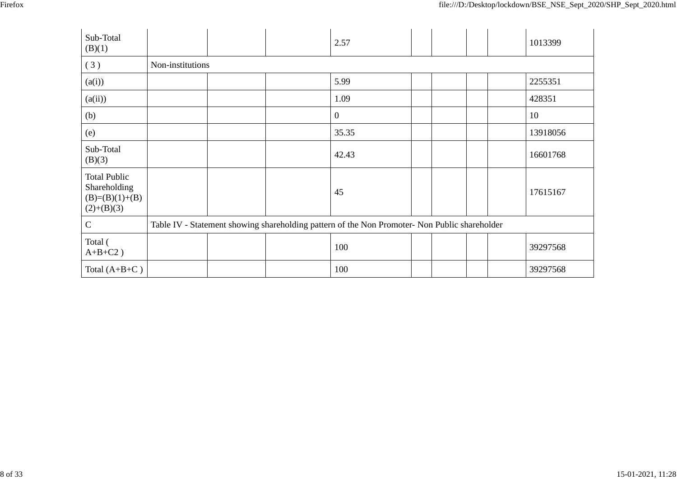| v<br>۰, |  |
|---------|--|
|         |  |

| Sub-Total<br>(B)(1)                                                     |                  |  | 2.57                                                                                          |  | 1013399  |
|-------------------------------------------------------------------------|------------------|--|-----------------------------------------------------------------------------------------------|--|----------|
| (3)                                                                     | Non-institutions |  |                                                                                               |  |          |
| (a(i))                                                                  |                  |  | 5.99                                                                                          |  | 2255351  |
| (a(ii))                                                                 |                  |  | 1.09                                                                                          |  | 428351   |
| (b)                                                                     |                  |  | $\mathbf{0}$                                                                                  |  | 10       |
| (e)                                                                     |                  |  | 35.35                                                                                         |  | 13918056 |
| Sub-Total<br>(B)(3)                                                     |                  |  | 42.43                                                                                         |  | 16601768 |
| <b>Total Public</b><br>Shareholding<br>$(B)=(B)(1)+(B)$<br>$(2)+(B)(3)$ |                  |  | 45                                                                                            |  | 17615167 |
| C                                                                       |                  |  | Table IV - Statement showing shareholding pattern of the Non Promoter- Non Public shareholder |  |          |
| Total (<br>$A+B+C2$ )                                                   |                  |  | 100                                                                                           |  | 39297568 |
| Total $(A+B+C)$                                                         |                  |  | 100                                                                                           |  | 39297568 |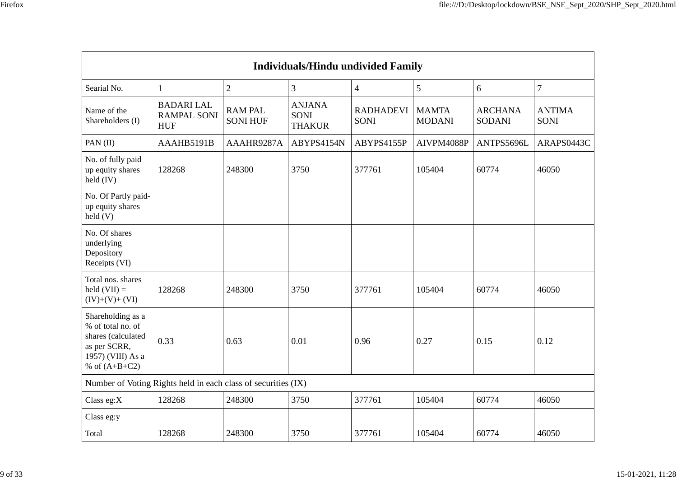|                                                                                                                      |                                                      |                                   | <b>Individuals/Hindu undivided Family</b>     |                                 |                               |                                 |                              |
|----------------------------------------------------------------------------------------------------------------------|------------------------------------------------------|-----------------------------------|-----------------------------------------------|---------------------------------|-------------------------------|---------------------------------|------------------------------|
| Searial No.                                                                                                          | 1                                                    | $\mathbf{2}$                      | 3                                             | $\overline{4}$                  | 5                             | 6                               | $\overline{7}$               |
| Name of the<br>Shareholders (I)                                                                                      | <b>BADARILAL</b><br><b>RAMPAL SONI</b><br><b>HUF</b> | <b>RAM PAL</b><br><b>SONI HUF</b> | <b>ANJANA</b><br><b>SONI</b><br><b>THAKUR</b> | <b>RADHADEVI</b><br><b>SONI</b> | <b>MAMTA</b><br><b>MODANI</b> | <b>ARCHANA</b><br><b>SODANI</b> | <b>ANTIMA</b><br><b>SONI</b> |
| PAN(II)                                                                                                              | AAAHB5191B                                           | AAAHR9287A                        | ABYPS4154N                                    | ABYPS4155P                      | AIVPM4088P                    | ANTPS5696L                      | ARAPS0443C                   |
| No. of fully paid<br>up equity shares<br>held $(IV)$                                                                 | 128268                                               | 248300                            | 3750                                          | 377761                          | 105404                        | 60774                           | 46050                        |
| No. Of Partly paid-<br>up equity shares<br>$\text{held}(V)$                                                          |                                                      |                                   |                                               |                                 |                               |                                 |                              |
| No. Of shares<br>underlying<br>Depository<br>Receipts (VI)                                                           |                                                      |                                   |                                               |                                 |                               |                                 |                              |
| Total nos. shares<br>held $(VII) =$<br>$(IV)+(V)+(VI)$                                                               | 128268                                               | 248300                            | 3750                                          | 377761                          | 105404                        | 60774                           | 46050                        |
| Shareholding as a<br>% of total no. of<br>shares (calculated<br>as per SCRR,<br>1957) (VIII) As a<br>% of $(A+B+C2)$ | 0.33                                                 | 0.63                              | 0.01                                          | 0.96                            | 0.27                          | 0.15                            | 0.12                         |
| Number of Voting Rights held in each class of securities (IX)                                                        |                                                      |                                   |                                               |                                 |                               |                                 |                              |
| Class eg:X                                                                                                           | 128268                                               | 248300                            | 3750                                          | 377761                          | 105404                        | 60774                           | 46050                        |
| Class eg:y                                                                                                           |                                                      |                                   |                                               |                                 |                               |                                 |                              |
| Total                                                                                                                | 128268                                               | 248300                            | 3750                                          | 377761                          | 105404                        | 60774                           | 46050                        |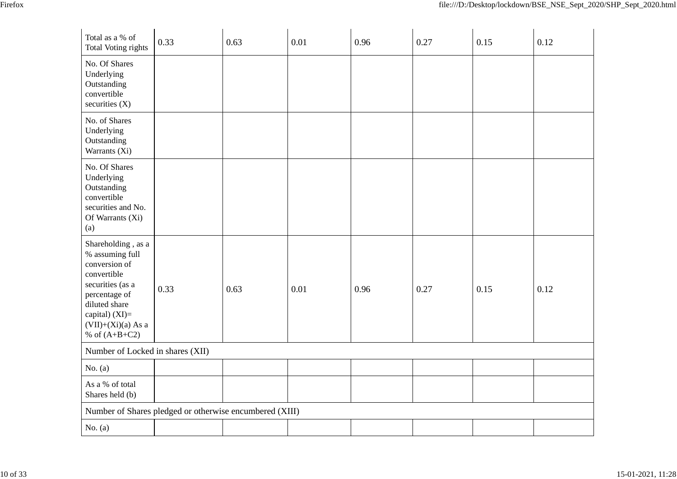| Total as a % of<br><b>Total Voting rights</b>                                                                                                                                            | 0.33 | 0.63 | 0.01 | 0.96 | 0.27 | 0.15 | 0.12 |
|------------------------------------------------------------------------------------------------------------------------------------------------------------------------------------------|------|------|------|------|------|------|------|
| No. Of Shares<br>Underlying<br>Outstanding<br>convertible<br>securities (X)                                                                                                              |      |      |      |      |      |      |      |
| No. of Shares<br>Underlying<br>Outstanding<br>Warrants (Xi)                                                                                                                              |      |      |      |      |      |      |      |
| No. Of Shares<br>Underlying<br>Outstanding<br>convertible<br>securities and No.<br>Of Warrants (Xi)<br>(a)                                                                               |      |      |      |      |      |      |      |
| Shareholding, as a<br>% assuming full<br>conversion of<br>convertible<br>securities (as a<br>percentage of<br>diluted share<br>capital) (XI)=<br>$(VII)+(Xi)(a) As a$<br>% of $(A+B+C2)$ | 0.33 | 0.63 | 0.01 | 0.96 | 0.27 | 0.15 | 0.12 |
| Number of Locked in shares (XII)                                                                                                                                                         |      |      |      |      |      |      |      |
| No. $(a)$                                                                                                                                                                                |      |      |      |      |      |      |      |
| As a % of total<br>Shares held (b)                                                                                                                                                       |      |      |      |      |      |      |      |
| Number of Shares pledged or otherwise encumbered (XIII)                                                                                                                                  |      |      |      |      |      |      |      |
| No. $(a)$                                                                                                                                                                                |      |      |      |      |      |      |      |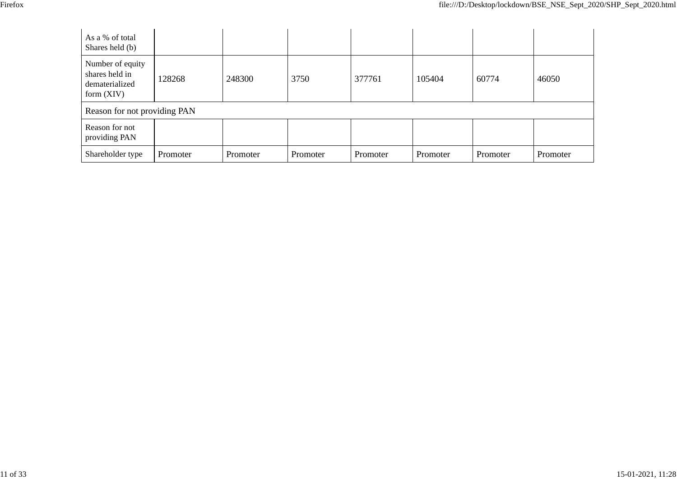| As a % of total<br>Shares held (b)                                   |          |          |          |          |          |          |          |
|----------------------------------------------------------------------|----------|----------|----------|----------|----------|----------|----------|
| Number of equity<br>shares held in<br>dematerialized<br>form $(XIV)$ | 128268   | 248300   | 3750     | 377761   | 105404   | 60774    | 46050    |
| Reason for not providing PAN                                         |          |          |          |          |          |          |          |
| Reason for not<br>providing PAN                                      |          |          |          |          |          |          |          |
| Shareholder type                                                     | Promoter | Promoter | Promoter | Promoter | Promoter | Promoter | Promoter |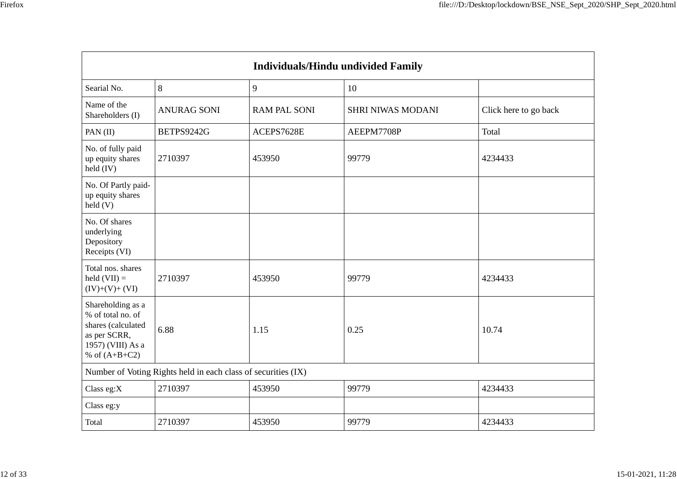|                                                                                                                      |                                                               | <b>Individuals/Hindu undivided Family</b> |                          |                       |
|----------------------------------------------------------------------------------------------------------------------|---------------------------------------------------------------|-------------------------------------------|--------------------------|-----------------------|
| Searial No.                                                                                                          | 8                                                             | 9                                         | 10                       |                       |
| Name of the<br>Shareholders (I)                                                                                      | <b>ANURAG SONI</b>                                            | <b>RAM PAL SONI</b>                       | <b>SHRI NIWAS MODANI</b> | Click here to go back |
| PAN (II)                                                                                                             | BETPS9242G                                                    | ACEPS7628E                                | AEEPM7708P               | Total                 |
| No. of fully paid<br>up equity shares<br>$\text{held (IV)}$                                                          | 2710397                                                       | 453950                                    | 99779                    | 4234433               |
| No. Of Partly paid-<br>up equity shares<br>held(V)                                                                   |                                                               |                                           |                          |                       |
| No. Of shares<br>underlying<br>Depository<br>Receipts (VI)                                                           |                                                               |                                           |                          |                       |
| Total nos. shares<br>held $(VII) =$<br>$(IV)+(V)+(VI)$                                                               | 2710397                                                       | 453950                                    | 99779                    | 4234433               |
| Shareholding as a<br>% of total no. of<br>shares (calculated<br>as per SCRR,<br>1957) (VIII) As a<br>% of $(A+B+C2)$ | 6.88                                                          | 1.15                                      | 0.25                     | 10.74                 |
|                                                                                                                      | Number of Voting Rights held in each class of securities (IX) |                                           |                          |                       |
| Class eg:X                                                                                                           | 2710397                                                       | 453950                                    | 99779                    | 4234433               |
| Class eg:y                                                                                                           |                                                               |                                           |                          |                       |
| Total                                                                                                                | 2710397                                                       | 453950                                    | 99779                    | 4234433               |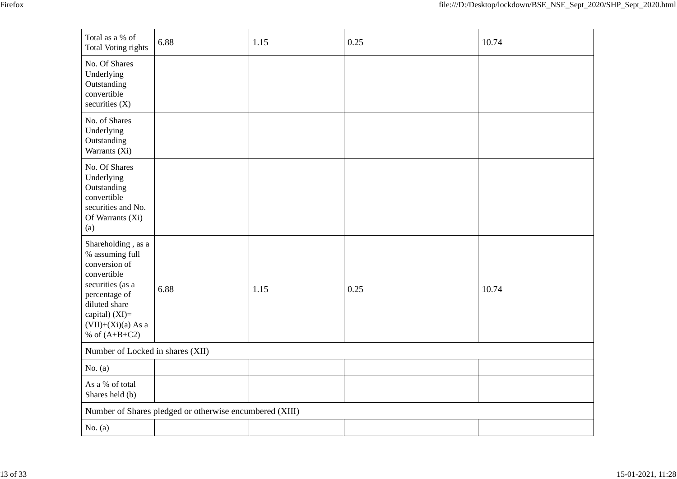| v<br>۰, |
|---------|
|---------|

| Total as a % of<br><b>Total Voting rights</b>                                                                                                                                              | 6.88                                                    | 1.15 | 0.25 | 10.74 |
|--------------------------------------------------------------------------------------------------------------------------------------------------------------------------------------------|---------------------------------------------------------|------|------|-------|
| No. Of Shares<br>Underlying<br>Outstanding<br>convertible<br>securities $(X)$                                                                                                              |                                                         |      |      |       |
| No. of Shares<br>Underlying<br>Outstanding<br>Warrants (Xi)                                                                                                                                |                                                         |      |      |       |
| No. Of Shares<br>Underlying<br>Outstanding<br>convertible<br>securities and No.<br>Of Warrants (Xi)<br>(a)                                                                                 |                                                         |      |      |       |
| Shareholding, as a<br>% assuming full<br>conversion of<br>convertible<br>securities (as a<br>percentage of<br>diluted share<br>capital) $(XI)=$<br>$(VII)+(Xi)(a) As a$<br>% of $(A+B+C2)$ | 6.88                                                    | 1.15 | 0.25 | 10.74 |
| Number of Locked in shares (XII)                                                                                                                                                           |                                                         |      |      |       |
| No. $(a)$                                                                                                                                                                                  |                                                         |      |      |       |
| As a % of total<br>Shares held (b)                                                                                                                                                         |                                                         |      |      |       |
|                                                                                                                                                                                            | Number of Shares pledged or otherwise encumbered (XIII) |      |      |       |
| No. $(a)$                                                                                                                                                                                  |                                                         |      |      |       |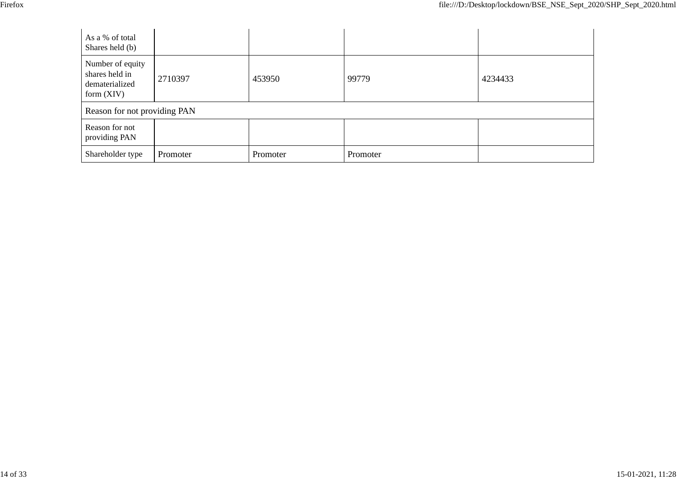| As a % of total<br>Shares held (b)                                   |          |          |          |         |
|----------------------------------------------------------------------|----------|----------|----------|---------|
| Number of equity<br>shares held in<br>dematerialized<br>form $(XIV)$ | 2710397  | 453950   | 99779    | 4234433 |
| Reason for not providing PAN                                         |          |          |          |         |
| Reason for not<br>providing PAN                                      |          |          |          |         |
| Shareholder type                                                     | Promoter | Promoter | Promoter |         |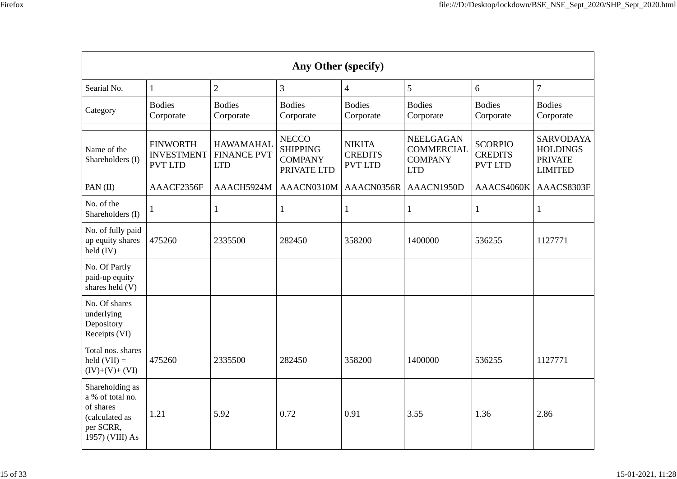| ۰,<br>×<br>۰, |  |
|---------------|--|
|               |  |

| Any Other (specify)                                                                                |                                                        |                                                      |                                                                  |                                                   |                                                                       |                                                    |                                                                         |  |  |
|----------------------------------------------------------------------------------------------------|--------------------------------------------------------|------------------------------------------------------|------------------------------------------------------------------|---------------------------------------------------|-----------------------------------------------------------------------|----------------------------------------------------|-------------------------------------------------------------------------|--|--|
| Searial No.                                                                                        | $\mathbf{1}$                                           | $\overline{2}$                                       | 3                                                                | $\overline{\mathcal{A}}$                          | 5                                                                     | 6                                                  | $\overline{7}$                                                          |  |  |
| Category                                                                                           | <b>Bodies</b><br>Corporate                             | <b>Bodies</b><br>Corporate                           | <b>Bodies</b><br>Corporate                                       | <b>Bodies</b><br>Corporate                        | <b>Bodies</b><br>Corporate                                            | <b>Bodies</b><br>Corporate                         | <b>Bodies</b><br>Corporate                                              |  |  |
| Name of the<br>Shareholders (I)                                                                    | <b>FINWORTH</b><br><b>INVESTMENT</b><br><b>PVT LTD</b> | <b>HAWAMAHAL</b><br><b>FINANCE PVT</b><br><b>LTD</b> | <b>NECCO</b><br><b>SHIPPING</b><br><b>COMPANY</b><br>PRIVATE LTD | <b>NIKITA</b><br><b>CREDITS</b><br><b>PVT LTD</b> | <b>NEELGAGAN</b><br><b>COMMERCIAL</b><br><b>COMPANY</b><br><b>LTD</b> | <b>SCORPIO</b><br><b>CREDITS</b><br><b>PVT LTD</b> | <b>SARVODAYA</b><br><b>HOLDINGS</b><br><b>PRIVATE</b><br><b>LIMITED</b> |  |  |
| PAN (II)                                                                                           | AAACF2356F                                             | AAACH5924M                                           | AAACN0310M                                                       | AAACN0356R                                        | AAACN1950D                                                            | AAACS4060K                                         | AAACS8303F                                                              |  |  |
| No. of the<br>Shareholders (I)                                                                     | $\mathbf{1}$                                           | 1                                                    | $\mathbf{1}$                                                     | 1                                                 | 1                                                                     | $\mathbf{1}$                                       | $\mathbf{1}$                                                            |  |  |
| No. of fully paid<br>up equity shares<br>$\text{held (IV)}$                                        | 475260                                                 | 2335500                                              | 282450                                                           | 358200                                            | 1400000                                                               | 536255                                             | 1127771                                                                 |  |  |
| No. Of Partly<br>paid-up equity<br>shares held (V)                                                 |                                                        |                                                      |                                                                  |                                                   |                                                                       |                                                    |                                                                         |  |  |
| No. Of shares<br>underlying<br>Depository<br>Receipts (VI)                                         |                                                        |                                                      |                                                                  |                                                   |                                                                       |                                                    |                                                                         |  |  |
| Total nos. shares<br>held $(VII) =$<br>$(IV)+(V)+(VI)$                                             | 475260                                                 | 2335500                                              | 282450                                                           | 358200                                            | 1400000                                                               | 536255                                             | 1127771                                                                 |  |  |
| Shareholding as<br>a % of total no.<br>of shares<br>(calculated as<br>per SCRR,<br>1957) (VIII) As | 1.21                                                   | 5.92                                                 | 0.72                                                             | 0.91                                              | 3.55                                                                  | 1.36                                               | 2.86                                                                    |  |  |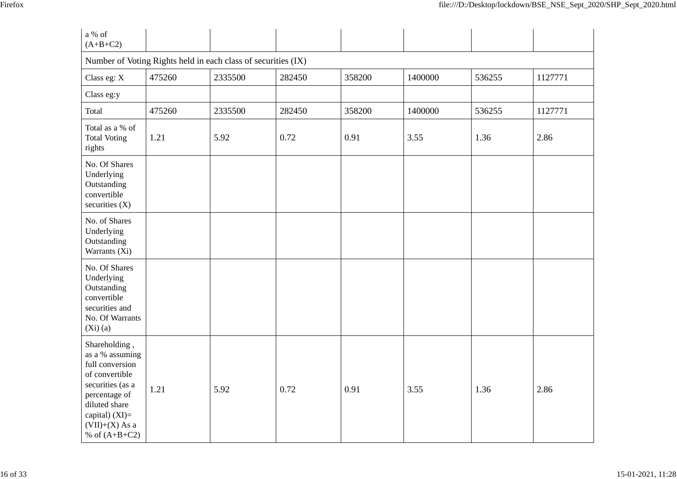| a % of<br>$(A+B+C2)$                                                                                                                                                                   |        |         |        |        |         |        |         |  |  |  |
|----------------------------------------------------------------------------------------------------------------------------------------------------------------------------------------|--------|---------|--------|--------|---------|--------|---------|--|--|--|
| Number of Voting Rights held in each class of securities (IX)                                                                                                                          |        |         |        |        |         |        |         |  |  |  |
| Class eg: X                                                                                                                                                                            | 475260 | 2335500 | 282450 | 358200 | 1400000 | 536255 | 1127771 |  |  |  |
| Class eg:y                                                                                                                                                                             |        |         |        |        |         |        |         |  |  |  |
| Total                                                                                                                                                                                  | 475260 | 2335500 | 282450 | 358200 | 1400000 | 536255 | 1127771 |  |  |  |
| Total as a % of<br><b>Total Voting</b><br>rights                                                                                                                                       | 1.21   | 5.92    | 0.72   | 0.91   | 3.55    | 1.36   | 2.86    |  |  |  |
| No. Of Shares<br>Underlying<br>Outstanding<br>convertible<br>securities $(X)$                                                                                                          |        |         |        |        |         |        |         |  |  |  |
| No. of Shares<br>Underlying<br>Outstanding<br>Warrants (Xi)                                                                                                                            |        |         |        |        |         |        |         |  |  |  |
| No. Of Shares<br>Underlying<br>Outstanding<br>convertible<br>securities and<br>No. Of Warrants<br>$(Xi)$ (a)                                                                           |        |         |        |        |         |        |         |  |  |  |
| Shareholding,<br>as a % assuming<br>full conversion<br>of convertible<br>securities (as a<br>percentage of<br>diluted share<br>capital) $(XI)=$<br>$(VII)+(X)$ As a<br>% of $(A+B+C2)$ | 1.21   | 5.92    | 0.72   | 0.91   | 3.55    | 1.36   | 2.86    |  |  |  |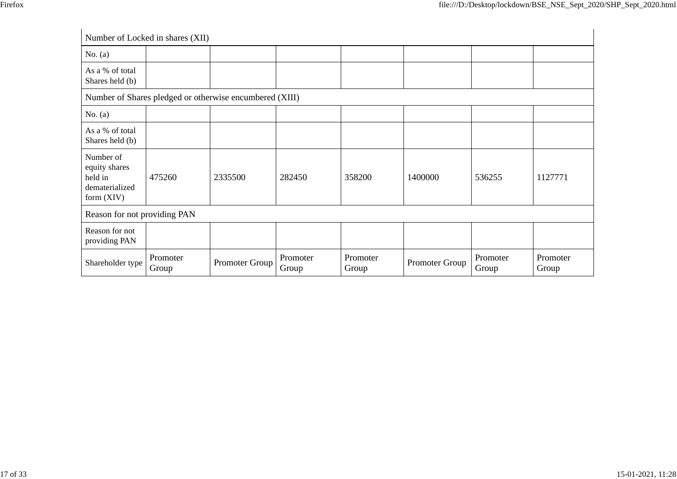|                                                                         | Number of Locked in shares (XII)                        |                |                   |                   |                |                   |                   |  |  |  |
|-------------------------------------------------------------------------|---------------------------------------------------------|----------------|-------------------|-------------------|----------------|-------------------|-------------------|--|--|--|
| No. $(a)$                                                               |                                                         |                |                   |                   |                |                   |                   |  |  |  |
| As a % of total<br>Shares held (b)                                      |                                                         |                |                   |                   |                |                   |                   |  |  |  |
|                                                                         | Number of Shares pledged or otherwise encumbered (XIII) |                |                   |                   |                |                   |                   |  |  |  |
| No. $(a)$                                                               |                                                         |                |                   |                   |                |                   |                   |  |  |  |
| As a % of total<br>Shares held (b)                                      |                                                         |                |                   |                   |                |                   |                   |  |  |  |
| Number of<br>equity shares<br>held in<br>dematerialized<br>form $(XIV)$ | 475260                                                  | 2335500        | 282450            | 358200            | 1400000        | 536255            | 1127771           |  |  |  |
|                                                                         | Reason for not providing PAN                            |                |                   |                   |                |                   |                   |  |  |  |
| Reason for not<br>providing PAN                                         |                                                         |                |                   |                   |                |                   |                   |  |  |  |
| Shareholder type                                                        | Promoter<br>Group                                       | Promoter Group | Promoter<br>Group | Promoter<br>Group | Promoter Group | Promoter<br>Group | Promoter<br>Group |  |  |  |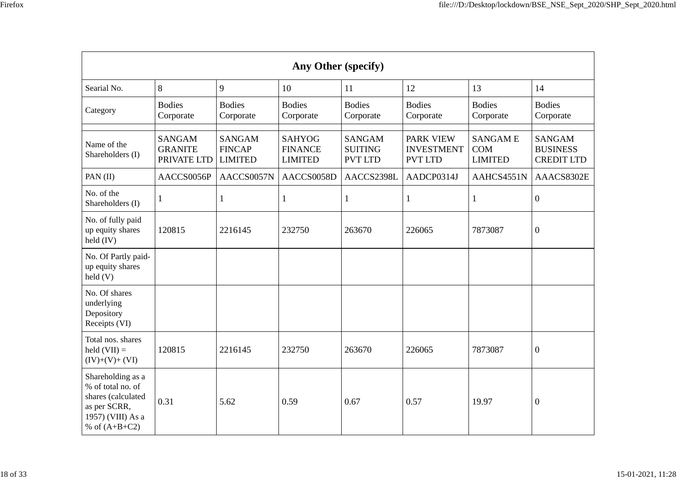| ۰,<br>۰, |  |
|----------|--|
|          |  |

| Any Other (specify)                                                                                                  |                                                |                                                  |                                                   |                                                   |                                                  |                                                |                                                       |
|----------------------------------------------------------------------------------------------------------------------|------------------------------------------------|--------------------------------------------------|---------------------------------------------------|---------------------------------------------------|--------------------------------------------------|------------------------------------------------|-------------------------------------------------------|
| Searial No.                                                                                                          | 8                                              | 9                                                | 10                                                | 11                                                | 12                                               | 13                                             | 14                                                    |
| Category                                                                                                             | <b>Bodies</b><br>Corporate                     | <b>Bodies</b><br>Corporate                       | <b>Bodies</b><br>Corporate                        | <b>Bodies</b><br>Corporate                        | <b>Bodies</b><br>Corporate                       | <b>Bodies</b><br>Corporate                     | <b>Bodies</b><br>Corporate                            |
| Name of the<br>Shareholders (I)                                                                                      | <b>SANGAM</b><br><b>GRANITE</b><br>PRIVATE LTD | <b>SANGAM</b><br><b>FINCAP</b><br><b>LIMITED</b> | <b>SAHYOG</b><br><b>FINANCE</b><br><b>LIMITED</b> | <b>SANGAM</b><br><b>SUITING</b><br><b>PVT LTD</b> | PARK VIEW<br><b>INVESTMENT</b><br><b>PVT LTD</b> | <b>SANGAME</b><br><b>COM</b><br><b>LIMITED</b> | <b>SANGAM</b><br><b>BUSINESS</b><br><b>CREDIT LTD</b> |
| PAN (II)                                                                                                             | AACCS0056P                                     | AACCS0057N                                       | AACCS0058D                                        | AACCS2398L                                        | AADCP0314J                                       | AAHCS4551N                                     | AAACS8302E                                            |
| No. of the<br>Shareholders (I)                                                                                       | -1                                             | $\mathbf{1}$                                     | $\mathbf{1}$                                      | 1                                                 | 1                                                | 1                                              | $\boldsymbol{0}$                                      |
| No. of fully paid<br>up equity shares<br>held (IV)                                                                   | 120815                                         | 2216145                                          | 232750                                            | 263670                                            | 226065                                           | 7873087                                        | $\boldsymbol{0}$                                      |
| No. Of Partly paid-<br>up equity shares<br>held(V)                                                                   |                                                |                                                  |                                                   |                                                   |                                                  |                                                |                                                       |
| No. Of shares<br>underlying<br>Depository<br>Receipts (VI)                                                           |                                                |                                                  |                                                   |                                                   |                                                  |                                                |                                                       |
| Total nos. shares<br>held $(VII) =$<br>$(IV)+(V)+(VI)$                                                               | 120815                                         | 2216145                                          | 232750                                            | 263670                                            | 226065                                           | 7873087                                        | $\boldsymbol{0}$                                      |
| Shareholding as a<br>% of total no. of<br>shares (calculated<br>as per SCRR,<br>1957) (VIII) As a<br>% of $(A+B+C2)$ | 0.31                                           | 5.62                                             | 0.59                                              | 0.67                                              | 0.57                                             | 19.97                                          | $\overline{0}$                                        |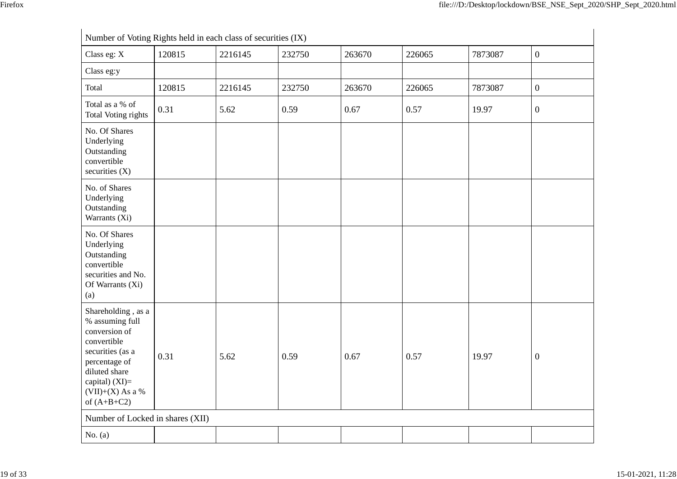| Number of Voting Rights held in each class of securities (IX)                                                                                                                        |        |         |        |        |        |         |                  |
|--------------------------------------------------------------------------------------------------------------------------------------------------------------------------------------|--------|---------|--------|--------|--------|---------|------------------|
| Class eg: X                                                                                                                                                                          | 120815 | 2216145 | 232750 | 263670 | 226065 | 7873087 | $\boldsymbol{0}$ |
| Class eg:y                                                                                                                                                                           |        |         |        |        |        |         |                  |
| Total                                                                                                                                                                                | 120815 | 2216145 | 232750 | 263670 | 226065 | 7873087 | $\boldsymbol{0}$ |
| Total as a % of<br><b>Total Voting rights</b>                                                                                                                                        | 0.31   | 5.62    | 0.59   | 0.67   | 0.57   | 19.97   | $\mathbf{0}$     |
| No. Of Shares<br>Underlying<br>Outstanding<br>convertible<br>securities $(X)$                                                                                                        |        |         |        |        |        |         |                  |
| No. of Shares<br>Underlying<br>Outstanding<br>Warrants (Xi)                                                                                                                          |        |         |        |        |        |         |                  |
| No. Of Shares<br>Underlying<br>Outstanding<br>convertible<br>securities and No.<br>Of Warrants (Xi)<br>(a)                                                                           |        |         |        |        |        |         |                  |
| Shareholding, as a<br>% assuming full<br>conversion of<br>convertible<br>securities (as a<br>percentage of<br>diluted share<br>capital) (XI)=<br>$(VII)+(X)$ As a %<br>of $(A+B+C2)$ | 0.31   | 5.62    | 0.59   | 0.67   | 0.57   | 19.97   | $\boldsymbol{0}$ |
| Number of Locked in shares (XII)                                                                                                                                                     |        |         |        |        |        |         |                  |
| No. $(a)$                                                                                                                                                                            |        |         |        |        |        |         |                  |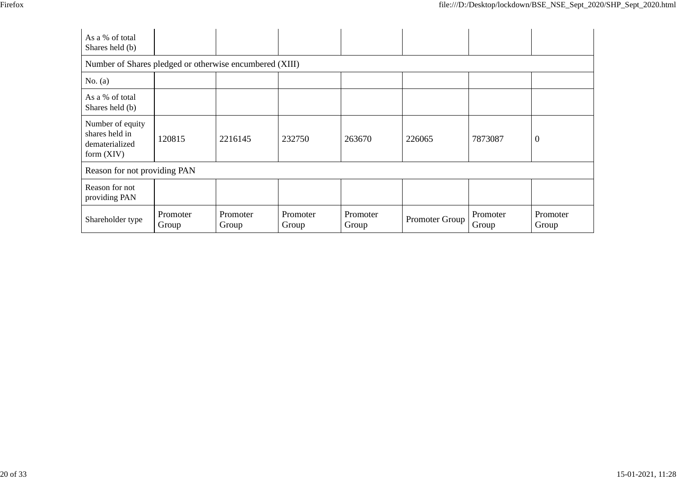| As a % of total<br>Shares held (b)                                   |                   |                   |                   |                   |                |                   |                   |
|----------------------------------------------------------------------|-------------------|-------------------|-------------------|-------------------|----------------|-------------------|-------------------|
| Number of Shares pledged or otherwise encumbered (XIII)              |                   |                   |                   |                   |                |                   |                   |
| No. $(a)$                                                            |                   |                   |                   |                   |                |                   |                   |
| As a % of total<br>Shares held (b)                                   |                   |                   |                   |                   |                |                   |                   |
| Number of equity<br>shares held in<br>dematerialized<br>form $(XIV)$ | 120815            | 2216145           | 232750            | 263670            | 226065         | 7873087           | $\boldsymbol{0}$  |
| Reason for not providing PAN                                         |                   |                   |                   |                   |                |                   |                   |
| Reason for not<br>providing PAN                                      |                   |                   |                   |                   |                |                   |                   |
| Shareholder type                                                     | Promoter<br>Group | Promoter<br>Group | Promoter<br>Group | Promoter<br>Group | Promoter Group | Promoter<br>Group | Promoter<br>Group |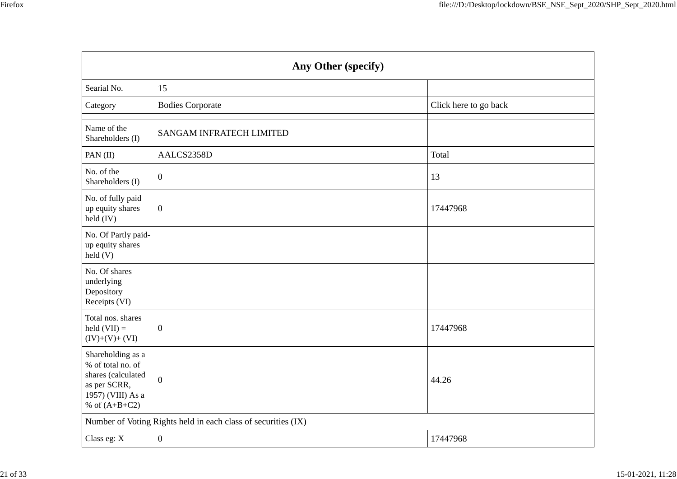| Any Other (specify)                                                                                                  |                                                               |                       |  |  |
|----------------------------------------------------------------------------------------------------------------------|---------------------------------------------------------------|-----------------------|--|--|
| Searial No.                                                                                                          | 15                                                            |                       |  |  |
| Category                                                                                                             | <b>Bodies Corporate</b>                                       | Click here to go back |  |  |
| Name of the<br>Shareholders (I)                                                                                      | <b>SANGAM INFRATECH LIMITED</b>                               |                       |  |  |
| PAN (II)                                                                                                             | AALCS2358D                                                    | Total                 |  |  |
| No. of the<br>Shareholders (I)                                                                                       | $\overline{0}$                                                | 13                    |  |  |
| No. of fully paid<br>up equity shares<br>held $(IV)$                                                                 | $\boldsymbol{0}$                                              | 17447968              |  |  |
| No. Of Partly paid-<br>up equity shares<br>held(V)                                                                   |                                                               |                       |  |  |
| No. Of shares<br>underlying<br>Depository<br>Receipts (VI)                                                           |                                                               |                       |  |  |
| Total nos. shares<br>held $(VII) =$<br>$(IV)+(V)+(VI)$                                                               | $\boldsymbol{0}$                                              | 17447968              |  |  |
| Shareholding as a<br>% of total no. of<br>shares (calculated<br>as per SCRR,<br>1957) (VIII) As a<br>% of $(A+B+C2)$ | $\overline{0}$                                                | 44.26                 |  |  |
|                                                                                                                      | Number of Voting Rights held in each class of securities (IX) |                       |  |  |
| Class eg: X                                                                                                          | $\boldsymbol{0}$                                              | 17447968              |  |  |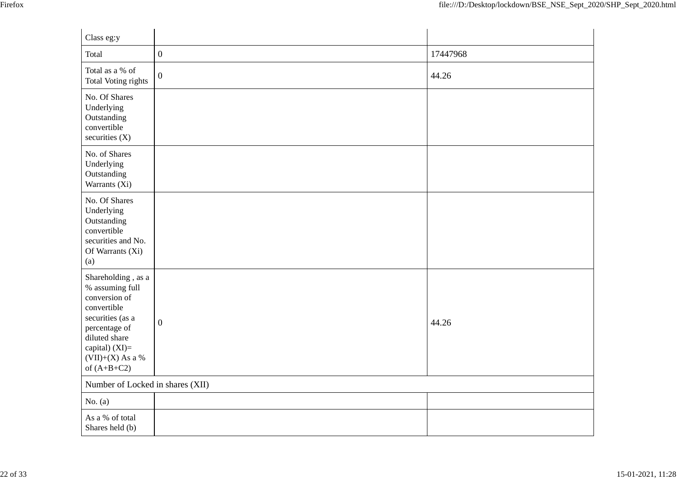| Class eg:y                                                                                                                                                                           |                  |          |
|--------------------------------------------------------------------------------------------------------------------------------------------------------------------------------------|------------------|----------|
| Total                                                                                                                                                                                | $\boldsymbol{0}$ | 17447968 |
| Total as a % of<br>Total Voting rights                                                                                                                                               | $\boldsymbol{0}$ | 44.26    |
| No. Of Shares<br>Underlying<br>Outstanding<br>convertible<br>securities $(X)$                                                                                                        |                  |          |
| No. of Shares<br>Underlying<br>Outstanding<br>Warrants (Xi)                                                                                                                          |                  |          |
| No. Of Shares<br>Underlying<br>Outstanding<br>convertible<br>securities and No.<br>Of Warrants (Xi)<br>(a)                                                                           |                  |          |
| Shareholding, as a<br>% assuming full<br>conversion of<br>convertible<br>securities (as a<br>percentage of<br>diluted share<br>capital) (XI)=<br>$(VII)+(X)$ As a %<br>of $(A+B+C2)$ | $\boldsymbol{0}$ | 44.26    |
| Number of Locked in shares (XII)                                                                                                                                                     |                  |          |
| No. $(a)$                                                                                                                                                                            |                  |          |
| As a % of total<br>Shares held (b)                                                                                                                                                   |                  |          |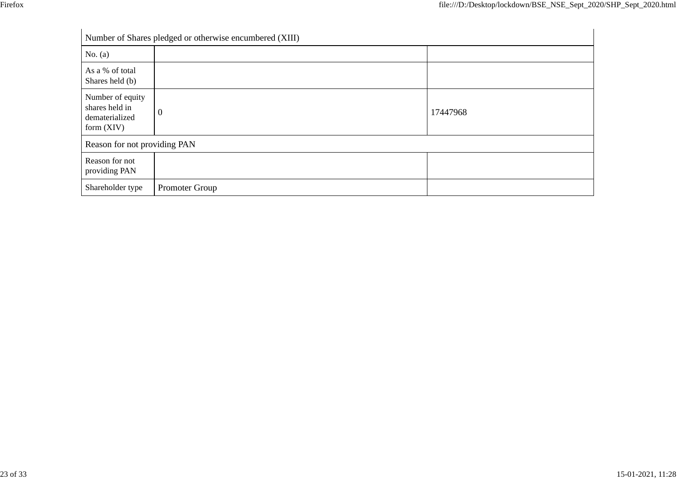|                                                                      | Number of Shares pledged or otherwise encumbered (XIII) |          |
|----------------------------------------------------------------------|---------------------------------------------------------|----------|
| No. $(a)$                                                            |                                                         |          |
| As a % of total<br>Shares held (b)                                   |                                                         |          |
| Number of equity<br>shares held in<br>dematerialized<br>form $(XIV)$ | $\mathbf{0}$                                            | 17447968 |
| Reason for not providing PAN                                         |                                                         |          |
| Reason for not<br>providing PAN                                      |                                                         |          |
| Shareholder type                                                     | Promoter Group                                          |          |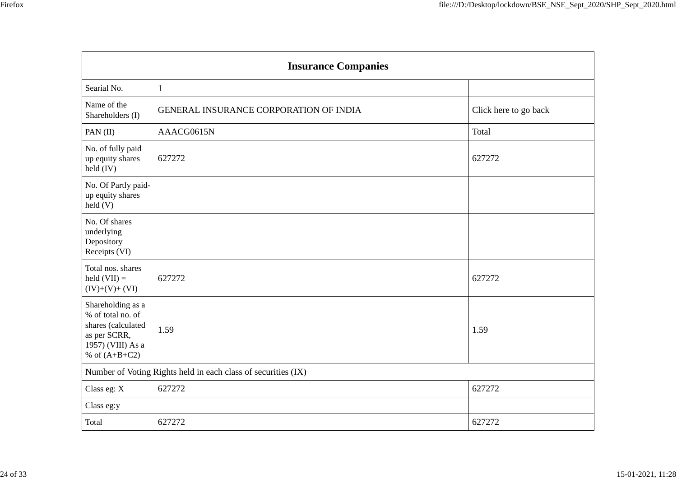| <b>Insurance Companies</b>                                                                                           |                                                               |                       |  |  |
|----------------------------------------------------------------------------------------------------------------------|---------------------------------------------------------------|-----------------------|--|--|
| Searial No.                                                                                                          | $\mathbf{1}$                                                  |                       |  |  |
| Name of the<br>Shareholders (I)                                                                                      | GENERAL INSURANCE CORPORATION OF INDIA                        | Click here to go back |  |  |
| PAN (II)                                                                                                             | AAACG0615N                                                    | Total                 |  |  |
| No. of fully paid<br>up equity shares<br>held (IV)                                                                   | 627272                                                        | 627272                |  |  |
| No. Of Partly paid-<br>up equity shares<br>held(V)                                                                   |                                                               |                       |  |  |
| No. Of shares<br>underlying<br>Depository<br>Receipts (VI)                                                           |                                                               |                       |  |  |
| Total nos. shares<br>held $(VII) =$<br>$(IV)+(V)+(VI)$                                                               | 627272                                                        | 627272                |  |  |
| Shareholding as a<br>% of total no. of<br>shares (calculated<br>as per SCRR,<br>1957) (VIII) As a<br>% of $(A+B+C2)$ | 1.59                                                          | 1.59                  |  |  |
|                                                                                                                      | Number of Voting Rights held in each class of securities (IX) |                       |  |  |
| Class eg: X                                                                                                          | 627272                                                        | 627272                |  |  |
| Class eg:y                                                                                                           |                                                               |                       |  |  |
| Total                                                                                                                | 627272                                                        | 627272                |  |  |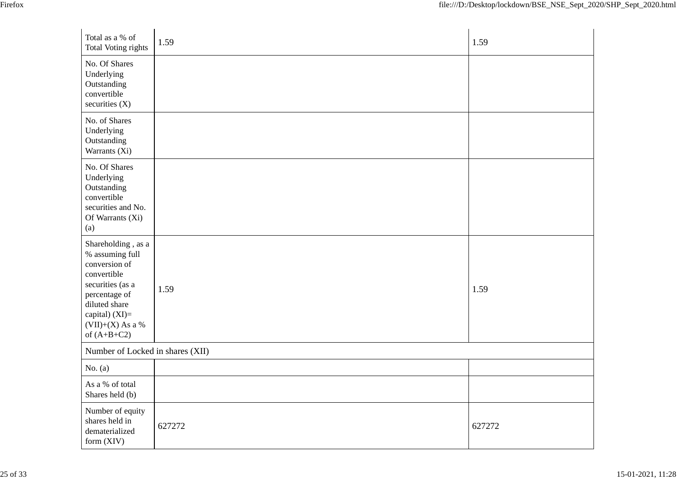| Total as a % of<br><b>Total Voting rights</b>                                                                                                                                        | 1.59   | 1.59   |
|--------------------------------------------------------------------------------------------------------------------------------------------------------------------------------------|--------|--------|
| No. Of Shares<br>Underlying<br>Outstanding<br>convertible<br>securities $(X)$                                                                                                        |        |        |
| No. of Shares<br>Underlying<br>Outstanding<br>Warrants (Xi)                                                                                                                          |        |        |
| No. Of Shares<br>Underlying<br>Outstanding<br>convertible<br>securities and No.<br>Of Warrants (Xi)<br>(a)                                                                           |        |        |
| Shareholding, as a<br>% assuming full<br>conversion of<br>convertible<br>securities (as a<br>percentage of<br>diluted share<br>capital) (XI)=<br>$(VII)+(X)$ As a %<br>of $(A+B+C2)$ | 1.59   | 1.59   |
| Number of Locked in shares (XII)                                                                                                                                                     |        |        |
| No. $(a)$                                                                                                                                                                            |        |        |
| As a % of total<br>Shares held (b)                                                                                                                                                   |        |        |
| Number of equity<br>shares held in<br>dematerialized<br>form (XIV)                                                                                                                   | 627272 | 627272 |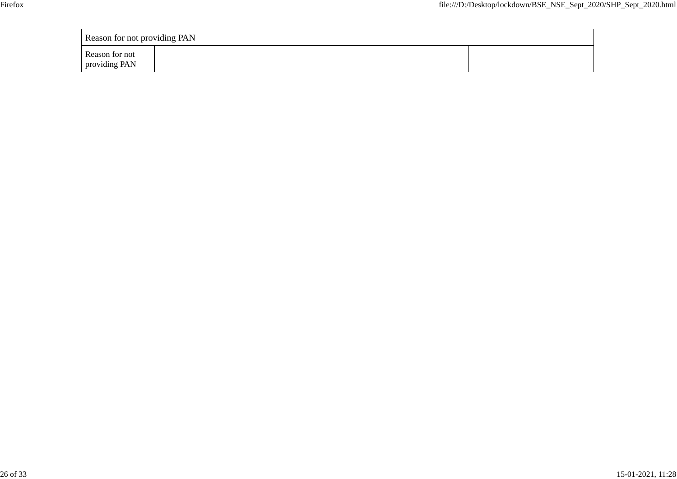| <b>Reason for not providing PAN</b> |  |  |  |  |
|-------------------------------------|--|--|--|--|
| Reason for not<br>providing PAN     |  |  |  |  |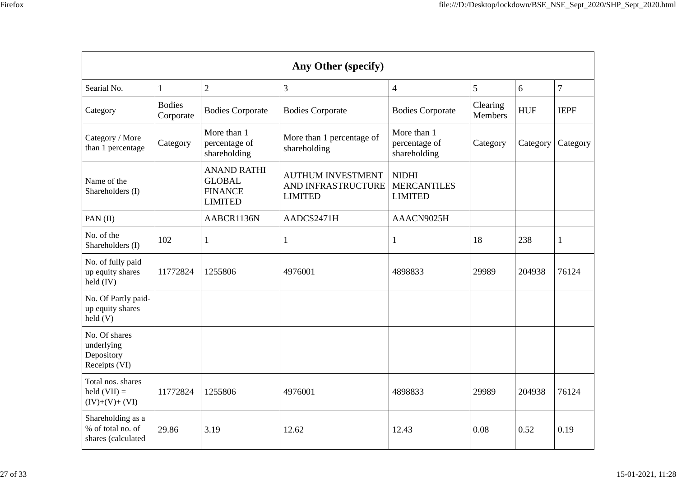| Any Other (specify)                                          |                            |                                                                         |                                                                  |                                                      |                     |            |                |
|--------------------------------------------------------------|----------------------------|-------------------------------------------------------------------------|------------------------------------------------------------------|------------------------------------------------------|---------------------|------------|----------------|
| Searial No.                                                  | $\mathbf{1}$               | $\overline{2}$                                                          | 3                                                                | 4                                                    | 5                   | 6          | $\overline{7}$ |
| Category                                                     | <b>Bodies</b><br>Corporate | <b>Bodies Corporate</b>                                                 | <b>Bodies Corporate</b>                                          | <b>Bodies Corporate</b>                              | Clearing<br>Members | <b>HUF</b> | <b>IEPF</b>    |
| Category / More<br>than 1 percentage                         | Category                   | More than 1<br>percentage of<br>shareholding                            | More than 1 percentage of<br>shareholding                        | More than 1<br>percentage of<br>shareholding         | Category            | Category   | Category       |
| Name of the<br>Shareholders (I)                              |                            | <b>ANAND RATHI</b><br><b>GLOBAL</b><br><b>FINANCE</b><br><b>LIMITED</b> | <b>AUTHUM INVESTMENT</b><br>AND INFRASTRUCTURE<br><b>LIMITED</b> | <b>NIDHI</b><br><b>MERCANTILES</b><br><b>LIMITED</b> |                     |            |                |
| PAN $(II)$                                                   |                            | AABCR1136N                                                              | AADCS2471H                                                       | AAACN9025H                                           |                     |            |                |
| No. of the<br>Shareholders (I)                               | 102                        | 1                                                                       | $\mathbf{1}$                                                     | 1                                                    | 18                  | 238        | 1              |
| No. of fully paid<br>up equity shares<br>held $(IV)$         | 11772824                   | 1255806                                                                 | 4976001                                                          | 4898833                                              | 29989               | 204938     | 76124          |
| No. Of Partly paid-<br>up equity shares<br>$\text{held}(V)$  |                            |                                                                         |                                                                  |                                                      |                     |            |                |
| No. Of shares<br>underlying<br>Depository<br>Receipts (VI)   |                            |                                                                         |                                                                  |                                                      |                     |            |                |
| Total nos. shares<br>held $(VII) =$<br>$(IV)+(V)+(VI)$       | 11772824                   | 1255806                                                                 | 4976001                                                          | 4898833                                              | 29989               | 204938     | 76124          |
| Shareholding as a<br>% of total no. of<br>shares (calculated | 29.86                      | 3.19                                                                    | 12.62                                                            | 12.43                                                | 0.08                | 0.52       | 0.19           |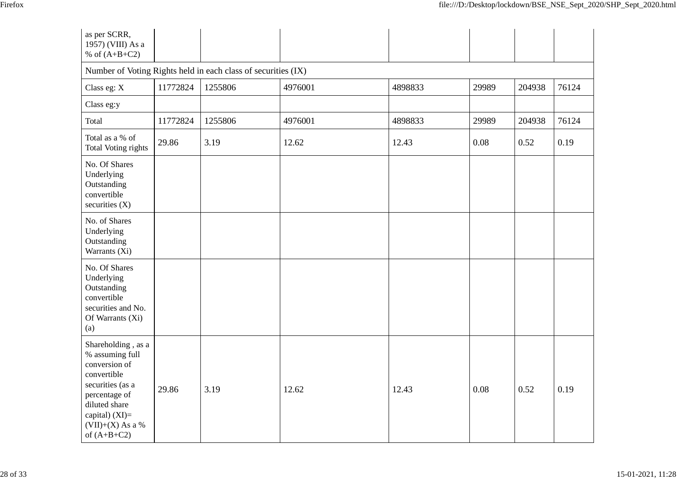| as per SCRR,<br>1957) (VIII) As a<br>% of $(A+B+C2)$                                                                                                                                 |          |         |         |         |       |        |       |  |
|--------------------------------------------------------------------------------------------------------------------------------------------------------------------------------------|----------|---------|---------|---------|-------|--------|-------|--|
| Number of Voting Rights held in each class of securities (IX)                                                                                                                        |          |         |         |         |       |        |       |  |
| Class eg: X                                                                                                                                                                          | 11772824 | 1255806 | 4976001 | 4898833 | 29989 | 204938 | 76124 |  |
| Class eg:y                                                                                                                                                                           |          |         |         |         |       |        |       |  |
| Total                                                                                                                                                                                | 11772824 | 1255806 | 4976001 | 4898833 | 29989 | 204938 | 76124 |  |
| Total as a % of<br><b>Total Voting rights</b>                                                                                                                                        | 29.86    | 3.19    | 12.62   | 12.43   | 0.08  | 0.52   | 0.19  |  |
| No. Of Shares<br>Underlying<br>Outstanding<br>convertible<br>securities (X)                                                                                                          |          |         |         |         |       |        |       |  |
| No. of Shares<br>Underlying<br>Outstanding<br>Warrants (Xi)                                                                                                                          |          |         |         |         |       |        |       |  |
| No. Of Shares<br>Underlying<br>Outstanding<br>convertible<br>securities and No.<br>Of Warrants (Xi)<br>(a)                                                                           |          |         |         |         |       |        |       |  |
| Shareholding, as a<br>% assuming full<br>conversion of<br>convertible<br>securities (as a<br>percentage of<br>diluted share<br>capital) (XI)=<br>$(VII)+(X)$ As a %<br>of $(A+B+C2)$ | 29.86    | 3.19    | 12.62   | 12.43   | 0.08  | 0.52   | 0.19  |  |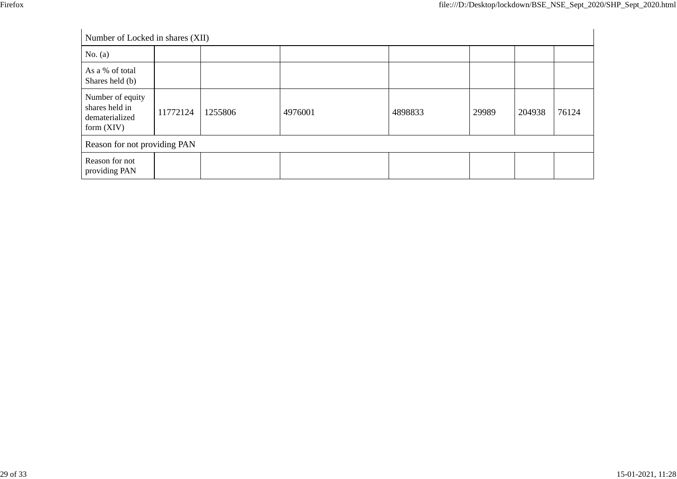| Number of Locked in shares (XII)                                     |          |         |         |         |       |        |       |
|----------------------------------------------------------------------|----------|---------|---------|---------|-------|--------|-------|
| No. $(a)$                                                            |          |         |         |         |       |        |       |
| As a % of total<br>Shares held (b)                                   |          |         |         |         |       |        |       |
| Number of equity<br>shares held in<br>dematerialized<br>form $(XIV)$ | 11772124 | 1255806 | 4976001 | 4898833 | 29989 | 204938 | 76124 |
| Reason for not providing PAN                                         |          |         |         |         |       |        |       |
| Reason for not<br>providing PAN                                      |          |         |         |         |       |        |       |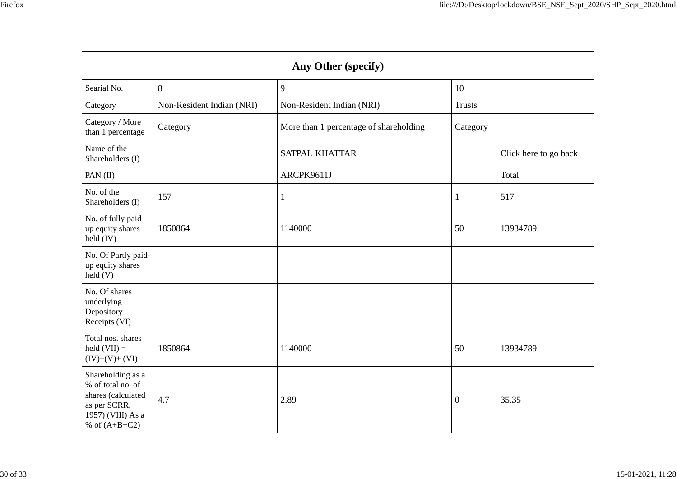| Any Other (specify)                                                                                                  |                           |                                        |                |                       |  |  |
|----------------------------------------------------------------------------------------------------------------------|---------------------------|----------------------------------------|----------------|-----------------------|--|--|
| Searial No.                                                                                                          | 8                         | 9                                      | 10             |                       |  |  |
| Category                                                                                                             | Non-Resident Indian (NRI) | Non-Resident Indian (NRI)              | <b>Trusts</b>  |                       |  |  |
| Category / More<br>than 1 percentage                                                                                 | Category                  | More than 1 percentage of shareholding | Category       |                       |  |  |
| Name of the<br>Shareholders (I)                                                                                      |                           | <b>SATPAL KHATTAR</b>                  |                | Click here to go back |  |  |
| PAN $(II)$                                                                                                           |                           | ARCPK9611J                             |                | Total                 |  |  |
| No. of the<br>Shareholders (I)                                                                                       | 157                       | $\mathbf{1}$                           | 1              | 517                   |  |  |
| No. of fully paid<br>up equity shares<br>held $(IV)$                                                                 | 1850864                   | 1140000                                | 50             | 13934789              |  |  |
| No. Of Partly paid-<br>up equity shares<br>held(V)                                                                   |                           |                                        |                |                       |  |  |
| No. Of shares<br>underlying<br>Depository<br>Receipts (VI)                                                           |                           |                                        |                |                       |  |  |
| Total nos. shares<br>held $(VII) =$<br>$(IV)+(V)+(VI)$                                                               | 1850864                   | 1140000                                | 50             | 13934789              |  |  |
| Shareholding as a<br>% of total no. of<br>shares (calculated<br>as per SCRR,<br>1957) (VIII) As a<br>% of $(A+B+C2)$ | 4.7                       | 2.89                                   | $\overline{0}$ | 35.35                 |  |  |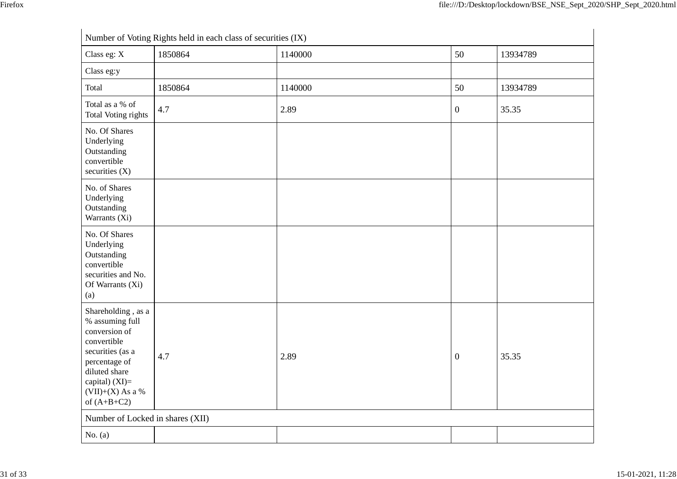|                                                                                                                                                                                        | Number of Voting Rights held in each class of securities (IX) |         |                  |          |  |  |
|----------------------------------------------------------------------------------------------------------------------------------------------------------------------------------------|---------------------------------------------------------------|---------|------------------|----------|--|--|
| Class eg: X                                                                                                                                                                            | 1850864                                                       | 1140000 | 50               | 13934789 |  |  |
| Class eg:y                                                                                                                                                                             |                                                               |         |                  |          |  |  |
| Total                                                                                                                                                                                  | 1850864                                                       | 1140000 | 50               | 13934789 |  |  |
| Total as a % of<br>Total Voting rights                                                                                                                                                 | 4.7                                                           | 2.89    | $\boldsymbol{0}$ | 35.35    |  |  |
| No. Of Shares<br>Underlying<br>Outstanding<br>convertible<br>securities $(X)$                                                                                                          |                                                               |         |                  |          |  |  |
| No. of Shares<br>Underlying<br>Outstanding<br>Warrants (Xi)                                                                                                                            |                                                               |         |                  |          |  |  |
| No. Of Shares<br>Underlying<br>Outstanding<br>convertible<br>securities and No.<br>Of Warrants (Xi)<br>(a)                                                                             |                                                               |         |                  |          |  |  |
| Shareholding, as a<br>% assuming full<br>conversion of<br>convertible<br>securities (as a<br>percentage of<br>diluted share<br>capital) $(XI)=$<br>$(VII)+(X)$ As a %<br>of $(A+B+C2)$ | 4.7                                                           | 2.89    | $\boldsymbol{0}$ | 35.35    |  |  |
| Number of Locked in shares (XII)                                                                                                                                                       |                                                               |         |                  |          |  |  |
| No. $(a)$                                                                                                                                                                              |                                                               |         |                  |          |  |  |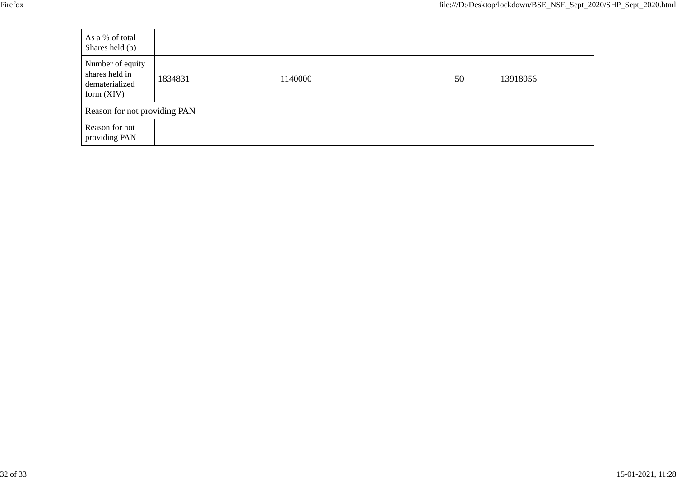| v<br>۰, |
|---------|
|---------|

| As a % of total<br>Shares held (b)                                   |         |         |    |          |  |  |  |
|----------------------------------------------------------------------|---------|---------|----|----------|--|--|--|
| Number of equity<br>shares held in<br>dematerialized<br>form $(XIV)$ | 1834831 | 1140000 | 50 | 13918056 |  |  |  |
| Reason for not providing PAN                                         |         |         |    |          |  |  |  |
| Reason for not<br>providing PAN                                      |         |         |    |          |  |  |  |